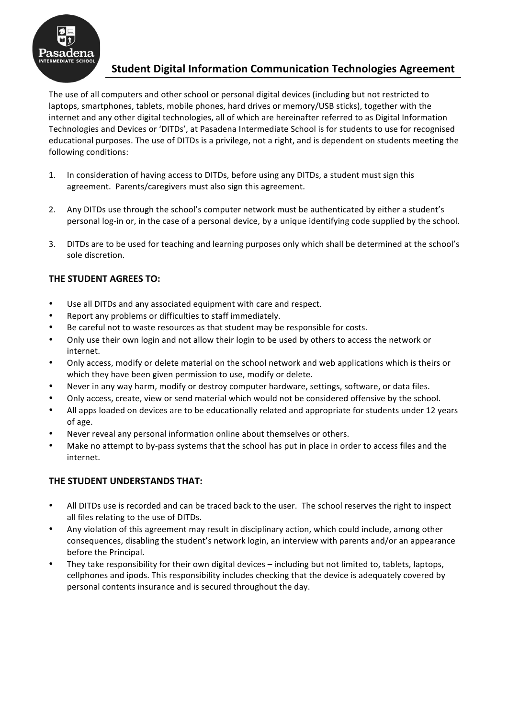

# **Student Digital Information Communication Technologies Agreement**

The use of all computers and other school or personal digital devices (including but not restricted to laptops, smartphones, tablets, mobile phones, hard drives or memory/USB sticks), together with the internet and any other digital technologies, all of which are hereinafter referred to as Digital Information Technologies and Devices or 'DITDs', at Pasadena Intermediate School is for students to use for recognised educational purposes. The use of DITDs is a privilege, not a right, and is dependent on students meeting the following conditions:

- 1. In consideration of having access to DITDs, before using any DITDs, a student must sign this agreement. Parents/caregivers must also sign this agreement.
- 2. Any DITDs use through the school's computer network must be authenticated by either a student's personal log-in or, in the case of a personal device, by a unique identifying code supplied by the school.
- 3. DITDs are to be used for teaching and learning purposes only which shall be determined at the school's sole discretion.

# **THE STUDENT AGREES TO:**

- Use all DITDs and any associated equipment with care and respect.
- Report any problems or difficulties to staff immediately.
- Be careful not to waste resources as that student may be responsible for costs.
- Only use their own login and not allow their login to be used by others to access the network or internet.
- Only access, modify or delete material on the school network and web applications which is theirs or which they have been given permission to use, modify or delete.
- Never in any way harm, modify or destroy computer hardware, settings, software, or data files.
- Only access, create, view or send material which would not be considered offensive by the school.
- All apps loaded on devices are to be educationally related and appropriate for students under 12 years of age.
- Never reveal any personal information online about themselves or others.
- Make no attempt to by-pass systems that the school has put in place in order to access files and the internet.

# **THE STUDENT UNDERSTANDS THAT:**

- All DITDs use is recorded and can be traced back to the user. The school reserves the right to inspect all files relating to the use of DITDs.
- Any violation of this agreement may result in disciplinary action, which could include, among other consequences, disabling the student's network login, an interview with parents and/or an appearance before the Principal.
- They take responsibility for their own digital devices including but not limited to, tablets, laptops, cellphones and ipods. This responsibility includes checking that the device is adequately covered by personal contents insurance and is secured throughout the day.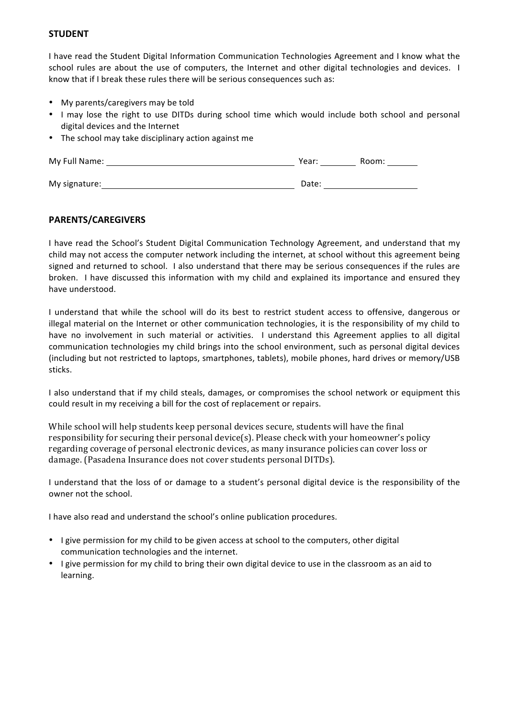#### **STUDENT**

I have read the Student Digital Information Communication Technologies Agreement and I know what the school rules are about the use of computers, the Internet and other digital technologies and devices. I know that if I break these rules there will be serious consequences such as:

- My parents/caregivers may be told
- I may lose the right to use DITDs during school time which would include both school and personal digital devices and the Internet
- The school may take disciplinary action against me

| My Full Name: | Year: | Room: |
|---------------|-------|-------|
|               |       |       |
| My signature: | Date: |       |

### **PARENTS/CAREGIVERS**

I have read the School's Student Digital Communication Technology Agreement, and understand that my child may not access the computer network including the internet, at school without this agreement being signed and returned to school. I also understand that there may be serious consequences if the rules are broken. I have discussed this information with my child and explained its importance and ensured they have understood.

I understand that while the school will do its best to restrict student access to offensive, dangerous or illegal material on the Internet or other communication technologies, it is the responsibility of my child to have no involvement in such material or activities. I understand this Agreement applies to all digital communication technologies my child brings into the school environment, such as personal digital devices (including but not restricted to laptops, smartphones, tablets), mobile phones, hard drives or memory/USB sticks.

I also understand that if my child steals, damages, or compromises the school network or equipment this could result in my receiving a bill for the cost of replacement or repairs.

While school will help students keep personal devices secure, students will have the final responsibility for securing their personal device(s). Please check with your homeowner's policy regarding coverage of personal electronic devices, as many insurance policies can cover loss or damage. (Pasadena Insurance does not cover students personal DITDs).

I understand that the loss of or damage to a student's personal digital device is the responsibility of the owner not the school.

I have also read and understand the school's online publication procedures.

- I give permission for my child to be given access at school to the computers, other digital communication technologies and the internet.
- I give permission for my child to bring their own digital device to use in the classroom as an aid to learning.